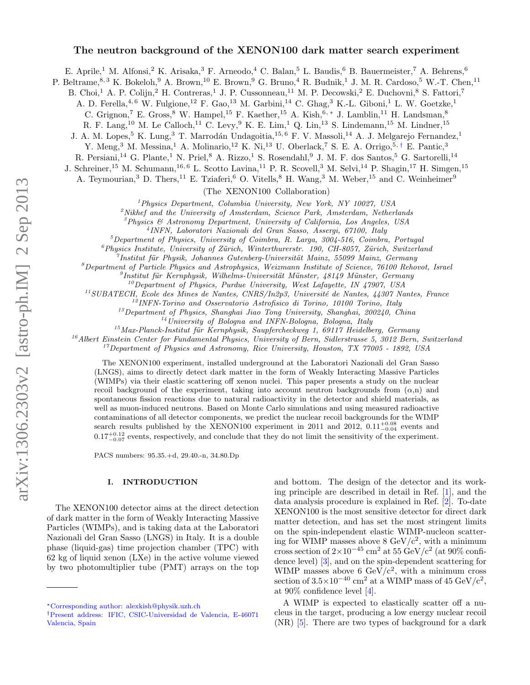# The neutron background of the XENON100 dark matter search experiment

E. Aprile,<sup>1</sup> M. Alfonsi,<sup>2</sup> K. Arisaka,<sup>3</sup> F. Arneodo,<sup>4</sup> C. Balan,<sup>5</sup> L. Baudis,<sup>6</sup> B. Bauermeister,<sup>7</sup> A. Behrens,<sup>6</sup>

P. Beltrame, 8, 3 K. Bokeloh, 9 A. Brown, <sup>10</sup> E. Brown, <sup>9</sup> G. Bruno, <sup>4</sup> R. Budnik, <sup>1</sup> J. M. R. Cardoso, <sup>5</sup> W.-T. Chen, <sup>11</sup>

B. Choi,<sup>1</sup> A. P. Colijn,<sup>2</sup> H. Contreras,<sup>1</sup> J. P. Cussonneau,<sup>11</sup> M. P. Decowski,<sup>2</sup> E. Duchovni,<sup>8</sup> S. Fattori,<sup>7</sup>

A. D. Ferella,  $4, 6$  W. Fulgione,  $12$  F. Gao,  $13$  M. Garbini,  $14$  C. Ghag,  $3$  K.-L. Giboni,  $1$  L. W. Goetzke,  $1$ 

C. Grignon,<sup>7</sup> E. Gross,<sup>8</sup> W. Hampel,<sup>15</sup> F. Kaether,<sup>15</sup> A. Kish,<sup>6,\*</sup> J. Lamblin,<sup>11</sup> H. Landsman,<sup>8</sup>

R. F. Lang,<sup>10</sup> M. Le Calloch,<sup>11</sup> C. Levy,<sup>9</sup> K. E. Lim,<sup>1</sup> Q. Lin,<sup>13</sup> S. Lindemann,<sup>15</sup> M. Lindner,<sup>15</sup>

J. A. M. Lopes,<sup>5</sup> K. Lung,<sup>3</sup> T. Marrodán Undagoitia,<sup>15, 6</sup> F. V. Massoli,<sup>14</sup> A. J. Melgarejo Fernandez,<sup>1</sup>

Y. Meng,<sup>3</sup> M. Messina,<sup>1</sup> A. Molinario,<sup>12</sup> K. Ni,<sup>13</sup> U. Oberlack,<sup>7</sup> S. E. A. Orrigo,<sup>5,[†](#page-0-1)</sup> E. Pantic,<sup>3</sup>

R. Persiani,<sup>14</sup> G. Plante,<sup>1</sup> N. Priel,<sup>8</sup> A. Rizzo,<sup>1</sup> S. Rosendahl,<sup>9</sup> J. M. F. dos Santos,<sup>5</sup> G. Sartorelli,<sup>14</sup>

J. Schreiner,<sup>15</sup> M. Schumann,<sup>16, 6</sup> L. Scotto Lavina,<sup>11</sup> P. R. Scovell,<sup>3</sup> M. Selvi,<sup>14</sup> P. Shagin,<sup>17</sup> H. Simgen,<sup>15</sup>

A. Teymourian,<sup>3</sup> D. Thers,<sup>11</sup> E. Tziaferi,<sup>6</sup> O. Vitells,<sup>8</sup> H. Wang,<sup>3</sup> M. Weber,<sup>15</sup> and C. Weinheimer<sup>9</sup>

(The XENON100 Collaboration)

<sup>1</sup>Physics Department, Columbia University, New York, NY 10027, USA

 $2^2$ Nikhef and the University of Amsterdam, Science Park, Amsterdam, Netherlands

<sup>3</sup>Physics & Astronomy Department, University of California, Los Angeles, USA

4 INFN, Laboratori Nazionali del Gran Sasso, Assergi, 67100, Italy

 $5$ Department of Physics, University of Coimbra, R. Larga, 3004-516, Coimbra, Portugal

 $^6$ Physics Institute, University of Zürich, Winterthurerstr. 190, CH-8057, Zürich, Switzerland

7 Institut für Physik, Johannes Gutenberg-Universität Mainz, 55099 Mainz, Germany

 ${}^8$ Department of Particle Physics and Astrophysics, Weizmann Institute of Science, 76100 Rehovot, Israel

 ${}^{9}$ Institut für Kernphysik, Wilhelms-Universität Münster, 48149 Münster, Germany

 $10$ Department of Physics, Purdue University, West Lafayette, IN 47907, USA

 $11$ SUBATECH, Ecole des Mines de Nantes, CNRS/In2p3, Université de Nantes, 44307 Nantes, France

 $12$ INFN-Torino and Osservatorio Astrofisico di Torino, 10100 Torino, Italy

 $^{13}$ Department of Physics, Shanghai Jiao Tong University, Shanghai, 200240, China

<sup>14</sup>University of Bologna and INFN-Bologna, Bologna, Italy

<sup>15</sup>Max-Planck-Institut für Kernphysik, Saupfercheckweg 1, 69117 Heidelberg, Germany

 $16$ Albert Einstein Center for Fundamental Physics, University of Bern, Sidlerstrasse 5, 3012 Bern, Switzerland

 $17$ Department of Physics and Astronomy, Rice University, Houston, TX 77005 - 1892, USA

The XENON100 experiment, installed underground at the Laboratori Nazionali del Gran Sasso (LNGS), aims to directly detect dark matter in the form of Weakly Interacting Massive Particles (WIMPs) via their elastic scattering off xenon nuclei. This paper presents a study on the nuclear recoil background of the experiment, taking into account neutron backgrounds from  $(\alpha, n)$  and spontaneous fission reactions due to natural radioactivity in the detector and shield materials, as well as muon-induced neutrons. Based on Monte Carlo simulations and using measured radioactive contaminations of all detector components, we predict the nuclear recoil backgrounds for the WIMP search results published by the XENON100 experiment in 2011 and 2012,  $0.11_{-0.04}^{+0.08}$  events and  $0.17_{-0.07}^{+0.12}$  events, respectively, and conclude that they do not limit the sensitivity of the experiment.

PACS numbers: 95.35.+d, 29.40.-n, 34.80.Dp

### I. INTRODUCTION

The XENON100 detector aims at the direct detection of dark matter in the form of Weakly Interacting Massive Particles (WIMPs), and is taking data at the Laboratori Nazionali del Gran Sasso (LNGS) in Italy. It is a double phase (liquid-gas) time projection chamber (TPC) with 62 kg of liquid xenon (LXe) in the active volume viewed by two photomultiplier tube (PMT) arrays on the top

and bottom. The design of the detector and its working principle are described in detail in Ref. [\[1\]](#page-9-0), and the data analysis procedure is explained in Ref. [\[2\]](#page-9-1). To-date XENON100 is the most sensitive detector for direct dark matter detection, and has set the most stringent limits on the spin-independent elastic WIMP-nucleon scattering for WIMP masses above  $8 \text{ GeV}/c^2$ , with a minimum cross section of  $2\times10^{-45}$  cm<sup>2</sup> at 55 GeV/c<sup>2</sup> (at 90% confidence level) [\[3\]](#page-9-2), and on the spin-dependent scattering for WIMP masses above 6 GeV/ $c^2$ , with a minimum cross section of  $3.5 \times 10^{-40}$  cm<sup>2</sup> at a WIMP mass of 45 GeV/c<sup>2</sup>, at 90% confidence level [\[4\]](#page-9-3).

A WIMP is expected to elastically scatter off a nucleus in the target, producing a low energy nuclear recoil (NR) [\[5\]](#page-9-4). There are two types of background for a dark

<span id="page-0-0"></span><sup>∗</sup>[Corresponding author: alexkish@physik.uzh.ch](mailto:Corresponding author: alexkish@physik.uzh.ch)

<span id="page-0-1"></span><sup>†</sup>[Present address: IFIC, CSIC-Universidad de Valencia, E-46071](mailto:Present address: IFIC, CSIC-Universidad de Valencia, E-46071 Valencia, Spain) [Valencia, Spain](mailto:Present address: IFIC, CSIC-Universidad de Valencia, E-46071 Valencia, Spain)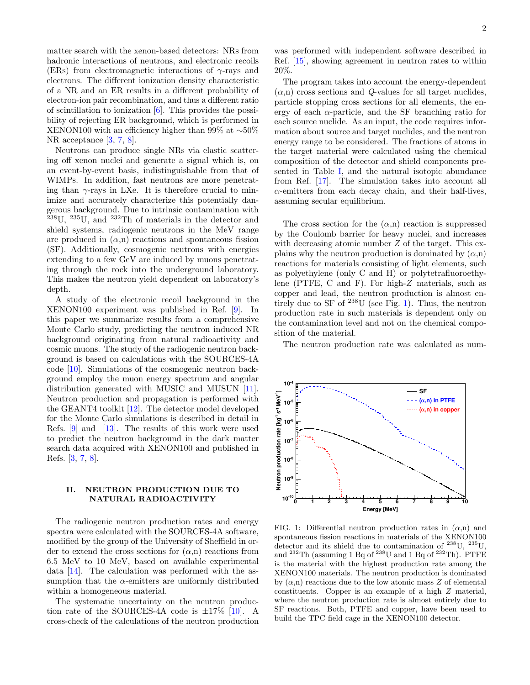matter search with the xenon-based detectors: NRs from hadronic interactions of neutrons, and electronic recoils (ERs) from electromagnetic interactions of  $\gamma$ -rays and electrons. The different ionization density characteristic of a NR and an ER results in a different probability of electron-ion pair recombination, and thus a different ratio of scintillation to ionization [\[6\]](#page-9-5). This provides the possibility of rejecting ER background, which is performed in XENON100 with an efficiency higher than 99% at ∼50% NR acceptance [\[3,](#page-9-2) [7,](#page-9-6) [8\]](#page-9-7).

Neutrons can produce single NRs via elastic scattering off xenon nuclei and generate a signal which is, on an event-by-event basis, indistinguishable from that of WIMPs. In addition, fast neutrons are more penetrating than  $\gamma$ -rays in LXe. It is therefore crucial to minimize and accurately characterize this potentially dangerous background. Due to intrinsic contamination with  $^{238}$ U,  $^{235}$ U, and  $^{232}$ Th of materials in the detector and shield systems, radiogenic neutrons in the MeV range are produced in  $(\alpha, n)$  reactions and spontaneous fission (SF). Additionally, cosmogenic neutrons with energies extending to a few GeV are induced by muons penetrating through the rock into the underground laboratory. This makes the neutron yield dependent on laboratory's depth.

A study of the electronic recoil background in the XENON100 experiment was published in Ref. [\[9\]](#page-9-8). In this paper we summarize results from a comprehensive Monte Carlo study, predicting the neutron induced NR background originating from natural radioactivity and cosmic muons. The study of the radiogenic neutron background is based on calculations with the SOURCES-4A code [\[10\]](#page-9-9). Simulations of the cosmogenic neutron background employ the muon energy spectrum and angular distribution generated with MUSIC and MUSUN [\[11\]](#page-9-10). Neutron production and propagation is performed with the GEANT4 toolkit [\[12\]](#page-9-11). The detector model developed for the Monte Carlo simulations is described in detail in Refs. [\[9\]](#page-9-8) and [\[13\]](#page-9-12). The results of this work were used to predict the neutron background in the dark matter search data acquired with XENON100 and published in Refs. [\[3,](#page-9-2) [7,](#page-9-6) [8\]](#page-9-7).

# II. NEUTRON PRODUCTION DUE TO NATURAL RADIOACTIVITY

The radiogenic neutron production rates and energy spectra were calculated with the SOURCES-4A software, modified by the group of the University of Sheffield in order to extend the cross sections for  $(\alpha, n)$  reactions from 6.5 MeV to 10 MeV, based on available experimental data [\[14\]](#page-9-13). The calculation was performed with the assumption that the  $\alpha$ -emitters are uniformly distributed within a homogeneous material.

The systematic uncertainty on the neutron production rate of the SOURCES-4A code is  $\pm 17\%$  [\[10\]](#page-9-9). A cross-check of the calculations of the neutron production

was performed with independent software described in Ref. [\[15\]](#page-9-14), showing agreement in neutron rates to within 20%.

The program takes into account the energy-dependent  $(\alpha, n)$  cross sections and Q-values for all target nuclides, particle stopping cross sections for all elements, the energy of each  $\alpha$ -particle, and the SF branching ratio for each source nuclide. As an input, the code requires information about source and target nuclides, and the neutron energy range to be considered. The fractions of atoms in the target material were calculated using the chemical composition of the detector and shield components presented in Table [I,](#page-2-0) and the natural isotopic abundance from Ref. [\[17\]](#page-9-15). The simulation takes into account all  $\alpha$ -emitters from each decay chain, and their half-lives, assuming secular equilibrium.

The cross section for the  $(\alpha, n)$  reaction is suppressed by the Coulomb barrier for heavy nuclei, and increases with decreasing atomic number Z of the target. This explains why the neutron production is dominated by  $(\alpha, n)$ reactions for materials consisting of light elements, such as polyethylene (only C and H) or polytetrafluoroethylene (PTFE, C and F). For high-Z materials, such as copper and lead, the neutron production is almost entirely due to SF of  $^{238}$ U (see Fig. [1\)](#page-1-0). Thus, the neutron production rate in such materials is dependent only on the contamination level and not on the chemical composition of the material.

The neutron production rate was calculated as num-



<span id="page-1-0"></span>FIG. 1: Differential neutron production rates in  $(\alpha, n)$  and spontaneous fission reactions in materials of the XENON100 detector and its shield due to contamination of  $^{238}$ U,  $^{235}$ U, and  $^{232}\text{Th}$  (assuming 1 Bq of  $^{238}\text{U}$  and 1 Bq of  $^{232}\text{Th}$ ). PTFE is the material with the highest production rate among the XENON100 materials. The neutron production is dominated by  $(\alpha, n)$  reactions due to the low atomic mass Z of elemental constituents. Copper is an example of a high Z material, where the neutron production rate is almost entirely due to SF reactions. Both, PTFE and copper, have been used to build the TPC field cage in the XENON100 detector.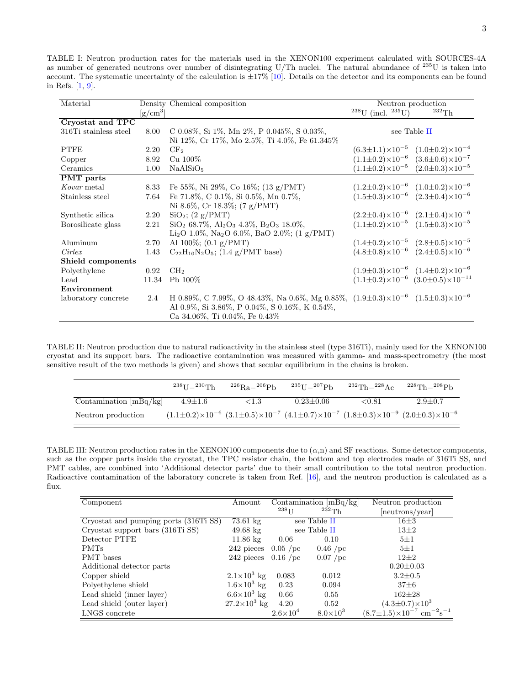<span id="page-2-0"></span>TABLE I: Neutron production rates for the materials used in the XENON100 experiment calculated with SOURCES-4A as number of generated neutrons over number of disintegrating U/Th nuclei. The natural abundance of <sup>235</sup>U is taken into account. The systematic uncertainty of the calculation is  $\pm 17\%$  [\[10\]](#page-9-9). Details on the detector and its components can be found in Refs. [\[1,](#page-9-0) [9\]](#page-9-8).

| Material              |                | Density Chemical composition                                                                         |                                | Neutron production                                     |
|-----------------------|----------------|------------------------------------------------------------------------------------------------------|--------------------------------|--------------------------------------------------------|
|                       | $\rm [g/cm^3]$ |                                                                                                      | $^{238}$ U (incl. $^{235}$ U)  | $^{232}\mathrm{Th}$                                    |
| Cryostat and TPC      |                |                                                                                                      |                                |                                                        |
| 316Ti stainless steel | 8.00           | C 0.08%, Si 1%, Mn 2%, P 0.045%, S 0.03%,                                                            | see Table II                   |                                                        |
|                       |                | Ni 12%, Cr 17%, Mo 2.5%, Ti 4.0%, Fe 61.345%                                                         |                                |                                                        |
| <b>PTFE</b>           | 2.20           | CF <sub>2</sub>                                                                                      | $(6.3 \pm 1.1) \times 10^{-5}$ | $(1.0\pm0.2)\times10^{-4}$                             |
| Copper                | 8.92           | $Cu$ 100\%                                                                                           | $(1.1 \pm 0.2) \times 10^{-6}$ | $(3.6\pm0.6)\times10^{-7}$                             |
| Ceramics              | 1.00           | NaAlSiO <sub>5</sub>                                                                                 |                                | $(1.1\pm0.2)\times10^{-5}$ $(2.0\pm0.3)\times10^{-5}$  |
| <b>PMT</b> parts      |                |                                                                                                      |                                |                                                        |
| Kovar metal           | 8.33           | Fe 55\%, Ni 29\%, Co 16\%; (13 g/PMT)                                                                |                                | $(1.2\pm0.2)\times10^{-6}$ $(1.0\pm0.2)\times10^{-6}$  |
| Stainless steel       | 7.64           | Fe 71.8%, C 0.1%, Si 0.5%, Mn 0.7%,                                                                  |                                | $(1.5\pm0.3)\times10^{-6}$ $(2.3\pm0.4)\times10^{-6}$  |
|                       |                | Ni 8.6\%, Cr 18.3\%; $(7 g/PMT)$                                                                     |                                |                                                        |
| Synthetic silica      | 2.20           | $SiO2$ ; (2 g/PMT)                                                                                   |                                | $(2.2\pm0.4)\times10^{-6}$ $(2.1\pm0.4)\times10^{-6}$  |
| Borosilicate glass    | 2.21           | $SiO2$ 68.7%, $Al2O3$ 4.3%, $B2O3$ 18.0%,                                                            |                                | $(1.1\pm0.2)\times10^{-5}$ $(1.5\pm0.3)\times10^{-5}$  |
|                       |                | Li <sub>2</sub> O 1.0%, Na <sub>2</sub> O 6.0%, BaO 2.0%; (1 g/PMT)                                  |                                |                                                        |
| Aluminum              | 2.70           | Al $100\%$ ; $(0.1 \text{ g}/\text{PMT})$                                                            |                                | $(1.4\pm0.2)\times10^{-5}$ $(2.8\pm0.5)\times10^{-5}$  |
| Cirlex                | 1.43           | $C_{22}H_{10}N_2O_5$ ; (1.4 g/PMT base)                                                              |                                | $(4.8\pm0.8)\times10^{-6}$ $(2.4\pm0.5)\times10^{-6}$  |
| Shield components     |                |                                                                                                      |                                |                                                        |
| Polyethylene          | 0.92           | CH <sub>2</sub>                                                                                      |                                | $(1.9\pm0.3)\times10^{-6}$ $(1.4\pm0.2)\times10^{-6}$  |
| Lead                  | 11.34          | $Pb 100\%$                                                                                           |                                | $(1.1\pm0.2)\times10^{-6}$ $(3.0\pm0.5)\times10^{-11}$ |
| Environment           |                |                                                                                                      |                                |                                                        |
| laboratory concrete   | 2.4            | H 0.89%, C 7.99%, O 48.43%, Na 0.6%, Mg 0.85%, $(1.9\pm0.3)\times10^{-6}$ $(1.5\pm0.3)\times10^{-6}$ |                                |                                                        |
|                       |                | Al 0.9%, Si 3.86%, P 0.04%, S 0.16%, K 0.54%,                                                        |                                |                                                        |
|                       |                | Ca 34.06%, Ti 0.04%, Fe 0.43%                                                                        |                                |                                                        |

TABLE II: Neutron production due to natural radioactivity in the stainless steel (type 316Ti), mainly used for the XENON100 cryostat and its support bars. The radioactive contamination was measured with gamma- and mass-spectrometry (the most sensitive result of the two methods is given) and shows that secular equilibrium in the chains is broken.

<span id="page-2-1"></span>

|                          | $^{238}$ U $-^{230}$ Th | $^{226}$ Ra $-^{206}$ Ph | $^{235}$ U $-^{207}$ Ph | $^{232}$ Th $ ^{228}$ Ac | $228 \text{Th} - 208 \text{Ph}$                                                                                                        |
|--------------------------|-------------------------|--------------------------|-------------------------|--------------------------|----------------------------------------------------------------------------------------------------------------------------------------|
| Contamination $[mBq/kg]$ | $4.9 \pm 1.6$           | ${<}1.3$                 | $0.23 \pm 0.06$         | ${<}0.81$                | $2.9 \pm 0.7$                                                                                                                          |
| Neutron production       |                         |                          |                         |                          | $(1.1\pm0.2)\times10^{-6}$ $(3.1\pm0.5)\times10^{-7}$ $(4.1\pm0.7)\times10^{-7}$ $(1.8\pm0.3)\times10^{-9}$ $(2.0\pm0.3)\times10^{-6}$ |

<span id="page-2-2"></span>TABLE III: Neutron production rates in the XENON100 components due to  $(\alpha, n)$  and SF reactions. Some detector components, such as the copper parts inside the cryostat, the TPC resistor chain, the bottom and top electrodes made of 316Ti SS, and PMT cables, are combined into 'Additional detector parts' due to their small contribution to the total neutron production. Radioactive contamination of the laboratory concrete is taken from Ref. [\[16\]](#page-9-16), and the neutron production is calculated as a flux.

| Component                             | Amount                | $238$ <sup>T</sup> | Contamination $[mBq/kg]$<br>$232 \text{Th}$ | Neutron production<br>[neutrons/year]                       |
|---------------------------------------|-----------------------|--------------------|---------------------------------------------|-------------------------------------------------------------|
| Cryostat and pumping ports (316Ti SS) | $73.61 \text{ kg}$    |                    | see Table II                                | $16\pm3$                                                    |
| Cryostat support bars (316Ti SS)      | $49.68 \text{ kg}$    |                    | see Table II                                | $13\pm2$                                                    |
| Detector PTFE                         | $11.86 \text{ kg}$    | 0.06               | 0.10                                        | $5\pm1$                                                     |
| <b>PMTs</b>                           | 242 pieces            | $0.05$ /pc         | $0.46$ /pc                                  | $5\pm1$                                                     |
| <b>PMT</b> bases                      | 242 pieces $0.16/pc$  |                    | $0.07$ /pc                                  | $12\pm2$                                                    |
| Additional detector parts             |                       |                    |                                             | $0.20 \pm 0.03$                                             |
| Copper shield                         | $2.1\times10^3$ kg    | 0.083              | 0.012                                       | $3.2 \pm 0.5$                                               |
| Polyethylene shield                   | $1.6\times10^3$ kg    | 0.23               | 0.094                                       | $37 + 6$                                                    |
| Lead shield (inner layer)             | $6.6\times10^3$ kg    | 0.66               | 0.55                                        | $162 + 28$                                                  |
| Lead shield (outer layer)             | $27.2 \times 10^3$ kg | 4.20               | 0.52                                        | $(4.3 \pm 0.7) \times 10^3$                                 |
| LNGS concrete                         |                       | $2.6\times10^{4}$  | $8.0\times10^{3}$                           | $(8.7\pm1.5)\times10^{-7}$ cm <sup>-2</sup> s <sup>-1</sup> |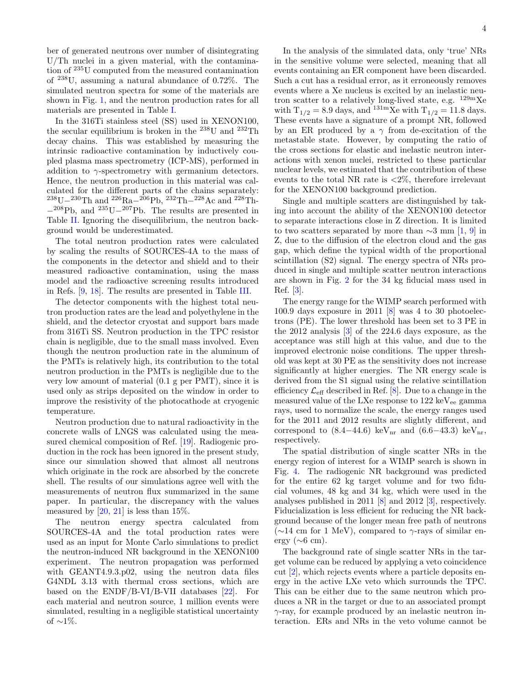ber of generated neutrons over number of disintegrating U/Th nuclei in a given material, with the contamination of <sup>235</sup>U computed from the measured contamination of <sup>238</sup>U, assuming a natural abundance of 0.72%. The simulated neutron spectra for some of the materials are shown in Fig. [1,](#page-1-0) and the neutron production rates for all materials are presented in Table [I.](#page-2-0)

In the 316Ti stainless steel (SS) used in XENON100, the secular equilibrium is broken in the  $238$ U and  $232$ Th decay chains. This was established by measuring the intrinsic radioactive contamination by inductively coupled plasma mass spectrometry (ICP-MS), performed in addition to  $\gamma$ -spectrometry with germanium detectors. Hence, the neutron production in this material was calculated for the different parts of the chains separately:  $^{238}$ U $-^{230}$ Th and  $^{226}$ Ra $-^{206}$ Pb,  $^{232}$ Th $-^{228}$ Ac and  $^{228}$ Th- $-$ <sup>208</sup>Pb, and <sup>235</sup>U<sup>-207</sup>Pb. The results are presented in Table [II.](#page-2-1) Ignoring the disequilibrium, the neutron background would be underestimated.

The total neutron production rates were calculated by scaling the results of SOURCES-4A to the mass of the components in the detector and shield and to their measured radioactive contamination, using the mass model and the radioactive screening results introduced in Refs. [\[9,](#page-9-8) [18\]](#page-9-17). The results are presented in Table [III.](#page-2-2)

The detector components with the highest total neutron production rates are the lead and polyethylene in the shield, and the detector cryostat and support bars made from 316Ti SS. Neutron production in the TPC resistor chain is negligible, due to the small mass involved. Even though the neutron production rate in the aluminum of the PMTs is relatively high, its contribution to the total neutron production in the PMTs is negligible due to the very low amount of material (0.1 g per PMT), since it is used only as strips deposited on the window in order to improve the resistivity of the photocathode at cryogenic temperature.

Neutron production due to natural radioactivity in the concrete walls of LNGS was calculated using the measured chemical composition of Ref. [\[19\]](#page-9-18). Radiogenic production in the rock has been ignored in the present study, since our simulation showed that almost all neutrons which originate in the rock are absorbed by the concrete shell. The results of our simulations agree well with the measurements of neutron flux summarized in the same paper. In particular, the discrepancy with the values measured by  $[20, 21]$  $[20, 21]$  $[20, 21]$  is less than 15%.

The neutron energy spectra calculated from SOURCES-4A and the total production rates were used as an input for Monte Carlo simulations to predict the neutron-induced NR background in the XENON100 experiment. The neutron propagation was performed with GEANT4.9.3.p02, using the neutron data files G4NDL 3.13 with thermal cross sections, which are based on the ENDF/B-VI/B-VII databases [\[22\]](#page-9-21). For each material and neutron source, 1 million events were simulated, resulting in a negligible statistical uncertainty of  $\sim$ 1\%.

In the analysis of the simulated data, only 'true' NRs in the sensitive volume were selected, meaning that all events containing an ER component have been discarded. Such a cut has a residual error, as it erroneously removes events where a Xe nucleus is excited by an inelastic neutron scatter to a relatively long-lived state, e.g.  $^{129m}Xe$ with  $T_{1/2} = 8.9$  days, and  $^{131m}$ Xe with  $T_{1/2} = 11.8$  days. These events have a signature of a prompt NR, followed by an ER produced by a  $\gamma$  from de-excitation of the metastable state. However, by computing the ratio of the cross sections for elastic and inelastic neutron interactions with xenon nuclei, restricted to these particular nuclear levels, we estimated that the contribution of these events to the total NR rate is  $\langle 2\%,$  therefore irrelevant for the XENON100 background prediction.

Single and multiple scatters are distinguished by taking into account the ability of the XENON100 detector to separate interactions close in Z direction. It is limited to two scatters separated by more than  $\sim$ 3 mm [\[1,](#page-9-0) [9\]](#page-9-8) in Z, due to the diffusion of the electron cloud and the gas gap, which define the typical width of the proportional scintillation (S2) signal. The energy spectra of NRs produced in single and multiple scatter neutron interactions are shown in Fig. [2](#page-4-0) for the 34 kg fiducial mass used in Ref. [\[3\]](#page-9-2).

The energy range for the WIMP search performed with 100.9 days exposure in 2011 [\[8\]](#page-9-7) was 4 to 30 photoelectrons (PE). The lower threshold has been set to 3 PE in the 2012 analysis [\[3\]](#page-9-2) of the 224.6 days exposure, as the acceptance was still high at this value, and due to the improved electronic noise conditions. The upper threshold was kept at 30 PE as the sensitivity does not increase significantly at higher energies. The NR energy scale is derived from the S1 signal using the relative scintillation efficiency  $\mathcal{L}_{\text{eff}}$  described in Ref. [\[8\]](#page-9-7). Due to a change in the measured value of the LXe response to  $122 \text{ keV}_{ee}$  gamma rays, used to normalize the scale, the energy ranges used for the 2011 and 2012 results are slightly different, and correspond to  $(8.4-44.6)$  keV<sub>nr</sub> and  $(6.6-43.3)$  keV<sub>nr</sub>, respectively.

The spatial distribution of single scatter NRs in the energy region of interest for a WIMP search is shown in Fig. [4.](#page-4-1) The radiogenic NR background was predicted for the entire 62 kg target volume and for two fiducial volumes, 48 kg and 34 kg, which were used in the analyses published in 2011 [\[8\]](#page-9-7) and 2012 [\[3\]](#page-9-2), respectively. Fiducialization is less efficient for reducing the NR background because of the longer mean free path of neutrons  $(\sim 14 \text{ cm for } 1 \text{ MeV})$ , compared to  $\gamma$ -rays of similar energy ( $\sim 6$  cm).

The background rate of single scatter NRs in the target volume can be reduced by applying a veto coincidence cut [\[2\]](#page-9-1), which rejects events where a particle deposits energy in the active LXe veto which surrounds the TPC. This can be either due to the same neutron which produces a NR in the target or due to an associated prompt  $\gamma$ -ray, for example produced by an inelastic neutron interaction. ERs and NRs in the veto volume cannot be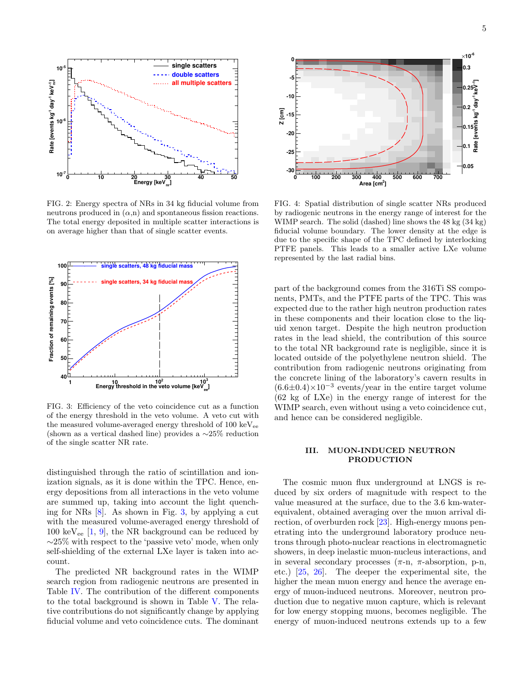

<span id="page-4-0"></span>FIG. 2: Energy spectra of NRs in 34 kg fiducial volume from neutrons produced in  $(\alpha, n)$  and spontaneous fission reactions. The total energy deposited in multiple scatter interactions is on average higher than that of single scatter events.



<span id="page-4-2"></span>FIG. 3: Efficiency of the veto coincidence cut as a function of the energy threshold in the veto volume. A veto cut with the measured volume-averaged energy threshold of  $100 \text{ keV}_{ee}$ (shown as a vertical dashed line) provides a ∼25% reduction of the single scatter NR rate.

distinguished through the ratio of scintillation and ionization signals, as it is done within the TPC. Hence, energy depositions from all interactions in the veto volume are summed up, taking into account the light quenching for NRs [\[8\]](#page-9-7). As shown in Fig. [3,](#page-4-2) by applying a cut with the measured volume-averaged energy threshold of 100 keV<sub>ee</sub>  $[1, 9]$  $[1, 9]$  $[1, 9]$ , the NR background can be reduced by ∼25% with respect to the 'passive veto' mode, when only self-shielding of the external LXe layer is taken into account.

The predicted NR background rates in the WIMP search region from radiogenic neutrons are presented in Table [IV.](#page-5-0) The contribution of the different components to the total background is shown in Table [V.](#page-5-1) The relative contributions do not significantly change by applying fiducial volume and veto coincidence cuts. The dominant



<span id="page-4-1"></span>FIG. 4: Spatial distribution of single scatter NRs produced by radiogenic neutrons in the energy range of interest for the WIMP search. The solid (dashed) line shows the 48 kg (34 kg) fiducial volume boundary. The lower density at the edge is due to the specific shape of the TPC defined by interlocking PTFE panels. This leads to a smaller active LXe volume represented by the last radial bins.

part of the background comes from the 316Ti SS components, PMTs, and the PTFE parts of the TPC. This was expected due to the rather high neutron production rates in these components and their location close to the liquid xenon target. Despite the high neutron production rates in the lead shield, the contribution of this source to the total NR background rate is negligible, since it is located outside of the polyethylene neutron shield. The contribution from radiogenic neutrons originating from the concrete lining of the laboratory's cavern results in  $(6.6\pm0.4)\times10^{-3}$  events/year in the entire target volume (62 kg of LXe) in the energy range of interest for the WIMP search, even without using a veto coincidence cut, and hence can be considered negligible.

## III. MUON-INDUCED NEUTRON PRODUCTION

The cosmic muon flux underground at LNGS is reduced by six orders of magnitude with respect to the value measured at the surface, due to the 3.6 km-waterequivalent, obtained averaging over the muon arrival direction, of overburden rock [\[23\]](#page-9-22). High-energy muons penetrating into the underground laboratory produce neutrons through photo-nuclear reactions in electromagnetic showers, in deep inelastic muon-nucleus interactions, and in several secondary processes  $(\pi-n, \pi-\text{absorption}, p-n,$ etc.) [\[25,](#page-9-23) [26\]](#page-9-24). The deeper the experimental site, the higher the mean muon energy and hence the average energy of muon-induced neutrons. Moreover, neutron production due to negative muon capture, which is relevant for low energy stopping muons, becomes negligible. The energy of muon-induced neutrons extends up to a few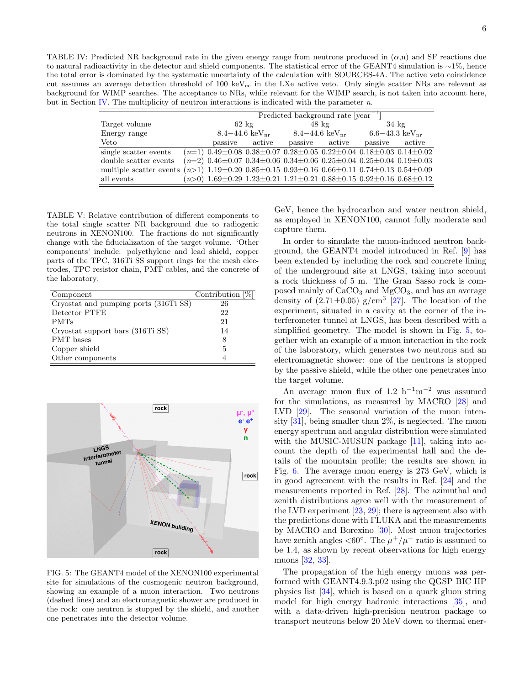<span id="page-5-0"></span>TABLE IV: Predicted NR background rate in the given energy range from neutrons produced in  $(\alpha,n)$  and SF reactions due to natural radioactivity in the detector and shield components. The statistical error of the GEANT4 simulation is ∼1%, hence the total error is dominated by the systematic uncertainty of the calculation with SOURCES-4A. The active veto coincidence cut assumes an average detection threshold of 100 keV<sub>ee</sub> in the LXe active veto. Only single scatter NRs are relevant as background for WIMP searches. The acceptance to NRs, while relevant for the WIMP search, is not taken into account here, but in Section [IV.](#page-6-0) The multiplicity of neutron interactions is indicated with the parameter  $n$ .

|                                                                                             | Predicted background rate $[year^{-1}]$ |  |                               |  |                               |                                                                                                         |        |
|---------------------------------------------------------------------------------------------|-----------------------------------------|--|-------------------------------|--|-------------------------------|---------------------------------------------------------------------------------------------------------|--------|
| Target volume                                                                               |                                         |  | $62 \text{ kg}$               |  | $48 \text{ kg}$               | $34 \text{ kg}$                                                                                         |        |
| Energy range                                                                                |                                         |  | $8.4 - 44.6 \text{ keV}_{nr}$ |  | $8.4 - 44.6 \text{ keV}_{nr}$ | $6.6 - 43.3 \text{ keV}_{nr}$                                                                           |        |
| Veto                                                                                        |                                         |  | passive active                |  | passive active                | passive                                                                                                 | active |
| single scatter events                                                                       |                                         |  |                               |  |                               | $(n=1)$ 0.49 $\pm$ 0.08 0.38 $\pm$ 0.07 0.28 $\pm$ 0.05 0.22 $\pm$ 0.04 0.18 $\pm$ 0.03 0.14 $\pm$ 0.02 |        |
| double scatter events                                                                       |                                         |  |                               |  |                               | $(n=2)$ 0.46±0.07 0.34±0.06 0.34±0.06 0.25±0.04 0.25±0.04 0.19±0.03                                     |        |
| multiple scatter events $(n>1)$ 1.19±0.20 0.85±0.15 0.93±0.16 0.66±0.11 0.74±0.13 0.54±0.09 |                                         |  |                               |  |                               |                                                                                                         |        |
| all events                                                                                  |                                         |  |                               |  |                               | $(n>0)$ 1.69±0.29 1.23±0.21 1.21±0.21 0.88±0.15 0.92±0.16 0.68±0.12                                     |        |

<span id="page-5-1"></span>TABLE V: Relative contribution of different components to the total single scatter NR background due to radiogenic neutrons in XENON100. The fractions do not significantly change with the fiducialization of the target volume. 'Other components' include: polyethylene and lead shield, copper parts of the TPC, 316Ti SS support rings for the mesh electrodes, TPC resistor chain, PMT cables, and the concrete of the laboratory.

| Component                             | Contribution [%] |
|---------------------------------------|------------------|
| Cryostat and pumping ports (316Ti SS) | 26               |
| Detector PTFE                         | 22               |
| <b>PMTs</b>                           | 21               |
| Cryostat support bars (316Ti SS)      | 14               |
| <b>PMT</b> bases                      | 8                |
| Copper shield                         | 5                |
| Other components                      |                  |



<span id="page-5-2"></span>FIG. 5: The GEANT4 model of the XENON100 experimental site for simulations of the cosmogenic neutron background, showing an example of a muon interaction. Two neutrons (dashed lines) and an electromagnetic shower are produced in the rock: one neutron is stopped by the shield, and another one penetrates into the detector volume.

GeV, hence the hydrocarbon and water neutron shield, as employed in XENON100, cannot fully moderate and capture them.

In order to simulate the muon-induced neutron background, the GEANT4 model introduced in Ref. [\[9\]](#page-9-8) has been extended by including the rock and concrete lining of the underground site at LNGS, taking into account a rock thickness of 5 m. The Gran Sasso rock is composed mainly of  $\rm CaCO_3$  and  $\rm MgCO_3,$  and has an average density of  $(2.71\pm0.05)$  g/cm<sup>3</sup> [\[27\]](#page-9-25). The location of the experiment, situated in a cavity at the corner of the interferometer tunnel at LNGS, has been described with a simplified geometry. The model is shown in Fig. [5,](#page-5-2) together with an example of a muon interaction in the rock of the laboratory, which generates two neutrons and an electromagnetic shower: one of the neutrons is stopped by the passive shield, while the other one penetrates into the target volume.

An average muon flux of 1.2 h<sup>-1</sup>m<sup>-2</sup> was assumed for the simulations, as measured by MACRO [\[28\]](#page-9-26) and LVD [\[29\]](#page-9-27). The seasonal variation of the muon intensity [\[31\]](#page-9-28), being smaller than 2%, is neglected. The muon energy spectrum and angular distribution were simulated with the MUSIC-MUSUN package [\[11\]](#page-9-10), taking into account the depth of the experimental hall and the details of the mountain profile; the results are shown in Fig. [6.](#page-6-1) The average muon energy is 273 GeV, which is in good agreement with the results in Ref. [\[24\]](#page-9-29) and the measurements reported in Ref. [\[28\]](#page-9-26). The azimuthal and zenith distributions agree well with the measurement of the LVD experiment [\[23,](#page-9-22) [29\]](#page-9-27); there is agreement also with the predictions done with FLUKA and the measurements by MACRO and Borexino [\[30\]](#page-9-30). Most muon trajectories have zenith angles <60°. The  $\mu^+/\mu^-$  ratio is assumed to be 1.4, as shown by recent observations for high energy muons [\[32,](#page-9-31) [33\]](#page-9-32).

The propagation of the high energy muons was performed with GEANT4.9.3.p02 using the QGSP BIC HP physics list [\[34\]](#page-9-33), which is based on a quark gluon string model for high energy hadronic interactions [\[35\]](#page-9-34), and with a data-driven high-precision neutron package to transport neutrons below 20 MeV down to thermal ener-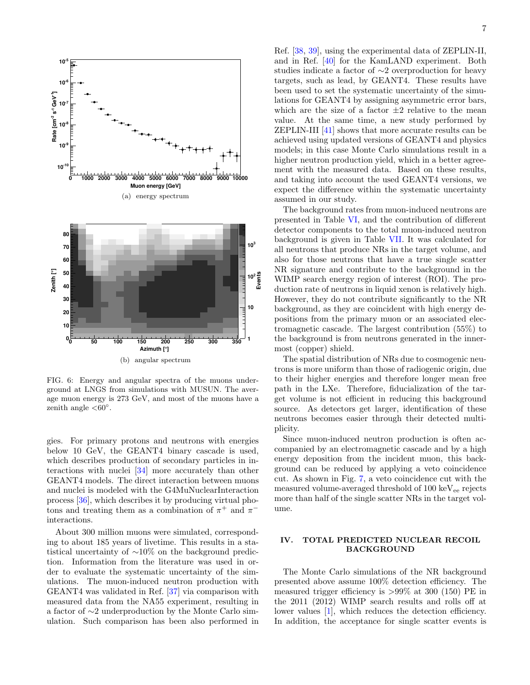

<span id="page-6-1"></span>FIG. 6: Energy and angular spectra of the muons underground at LNGS from simulations with MUSUN. The average muon energy is 273 GeV, and most of the muons have a zenith angle  $< 60^\circ$ .

gies. For primary protons and neutrons with energies below 10 GeV, the GEANT4 binary cascade is used, which describes production of secondary particles in interactions with nuclei [\[34\]](#page-9-33) more accurately than other GEANT4 models. The direct interaction between muons and nuclei is modeled with the G4MuNuclearInteraction process [\[36\]](#page-9-35), which describes it by producing virtual photons and treating them as a combination of  $\pi^+$  and  $\pi^$ interactions.

About 300 million muons were simulated, corresponding to about 185 years of livetime. This results in a statistical uncertainty of ∼10% on the background prediction. Information from the literature was used in order to evaluate the systematic uncertainty of the simulations. The muon-induced neutron production with GEANT4 was validated in Ref. [\[37\]](#page-9-36) via comparison with measured data from the NA55 experiment, resulting in a factor of ∼2 underproduction by the Monte Carlo simulation. Such comparison has been also performed in

Ref. [\[38,](#page-9-37) [39\]](#page-9-38), using the experimental data of ZEPLIN-II, and in Ref. [\[40\]](#page-9-39) for the KamLAND experiment. Both studies indicate a factor of ∼2 overproduction for heavy targets, such as lead, by GEANT4. These results have been used to set the systematic uncertainty of the simulations for GEANT4 by assigning asymmetric error bars, which are the size of a factor  $\pm 2$  relative to the mean value. At the same time, a new study performed by ZEPLIN-III [\[41\]](#page-9-40) shows that more accurate results can be achieved using updated versions of GEANT4 and physics models; in this case Monte Carlo simulations result in a higher neutron production yield, which in a better agreement with the measured data. Based on these results, and taking into account the used GEANT4 versions, we expect the difference within the systematic uncertainty assumed in our study.

The background rates from muon-induced neutrons are presented in Table [VI,](#page-7-0) and the contribution of different detector components to the total muon-induced neutron background is given in Table [VII.](#page-7-1) It was calculated for all neutrons that produce NRs in the target volume, and also for those neutrons that have a true single scatter NR signature and contribute to the background in the WIMP search energy region of interest (ROI). The production rate of neutrons in liquid xenon is relatively high. However, they do not contribute significantly to the NR background, as they are coincident with high energy depositions from the primary muon or an associated electromagnetic cascade. The largest contribution (55%) to the background is from neutrons generated in the innermost (copper) shield.

The spatial distribution of NRs due to cosmogenic neutrons is more uniform than those of radiogenic origin, due to their higher energies and therefore longer mean free path in the LXe. Therefore, fiducialization of the target volume is not efficient in reducing this background source. As detectors get larger, identification of these neutrons becomes easier through their detected multiplicity.

Since muon-induced neutron production is often accompanied by an electromagnetic cascade and by a high energy deposition from the incident muon, this background can be reduced by applying a veto coincidence cut. As shown in Fig. [7,](#page-7-2) a veto coincidence cut with the measured volume-averaged threshold of  $100 \text{ keV}_{ee}$  rejects more than half of the single scatter NRs in the target volume.

## <span id="page-6-0"></span>IV. TOTAL PREDICTED NUCLEAR RECOIL BACKGROUND

The Monte Carlo simulations of the NR background presented above assume 100% detection efficiency. The measured trigger efficiency is  $>99\%$  at 300 (150) PE in the 2011 (2012) WIMP search results and rolls off at lower values [\[1\]](#page-9-0), which reduces the detection efficiency. In addition, the acceptance for single scatter events is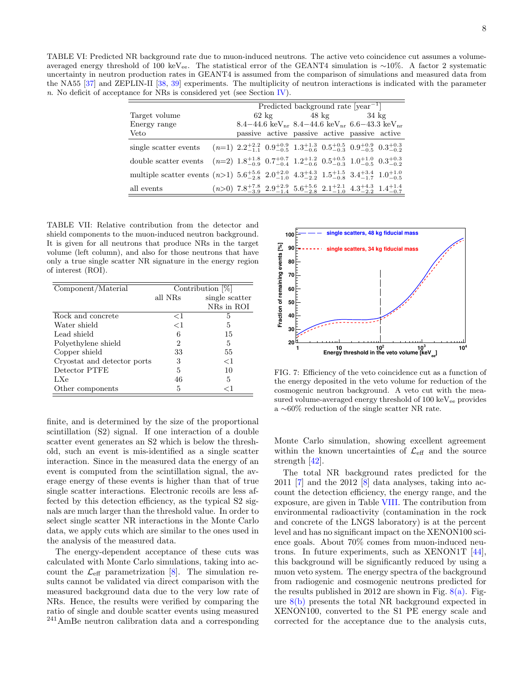<span id="page-7-0"></span>TABLE VI: Predicted NR background rate due to muon-induced neutrons. The active veto coincidence cut assumes a volumeaveraged energy threshold of 100 keVee. The statistical error of the GEANT4 simulation is ∼10%. A factor 2 systematic uncertainty in neutron production rates in GEANT4 is assumed from the comparison of simulations and measured data from the NA55 [\[37\]](#page-9-36) and ZEPLIN-II [\[38,](#page-9-37) [39\]](#page-9-38) experiments. The multiplicity of neutron interactions is indicated with the parameter n. No deficit of acceptance for NRs is considered yet (see Section [IV\)](#page-6-0).

|                                                                                                                                                         | Predicted background rate $[year^{-1}]$ |  |  |                                 |  |                                                                                                                                 |  |
|---------------------------------------------------------------------------------------------------------------------------------------------------------|-----------------------------------------|--|--|---------------------------------|--|---------------------------------------------------------------------------------------------------------------------------------|--|
| Target volume                                                                                                                                           |                                         |  |  | $62 \text{ kg}$ $48 \text{ kg}$ |  | $34 \text{ kg}$                                                                                                                 |  |
| Energy range                                                                                                                                            |                                         |  |  |                                 |  | 8.4–44.6 keV <sub>pr</sub> 8.4–44.6 keV <sub>pr</sub> 6.6–43.3 keV <sub>pr</sub>                                                |  |
| Veto                                                                                                                                                    |                                         |  |  |                                 |  | passive active passive active passive active                                                                                    |  |
| single scatter events $(n=1)$ $2.2^{+2.2}_{-1.1}$ $0.9^{+0.9}_{-0.5}$ $1.3^{+1.3}_{-0.6}$ $0.5^{+0.5}_{-0.3}$ $0.9^{+0.9}_{-0.5}$ $0.3^{+0.3}_{-0.2}$   |                                         |  |  |                                 |  |                                                                                                                                 |  |
| double scatter events $(n=2)$ $1.8^{+1.8}_{-0.9}$ $0.7^{+0.7}_{-0.4}$ $1.2^{+1.2}_{-0.6}$ $0.5^{+0.5}_{-0.3}$ $1.0^{+1.0}_{-0.5}$ $0.3^{+0.3}_{-0.2}$   |                                         |  |  |                                 |  |                                                                                                                                 |  |
| multiple scatter events $(n>1)$ $5.6^{+5.6}_{-2.8}$ $2.0^{+2.0}_{-1.0}$ $4.3^{+4.3}_{-2.2}$ $1.5^{+1.5}_{-0.8}$ $3.4^{+3.4}_{-1.7}$ $1.0^{+1.0}_{-0.5}$ |                                         |  |  |                                 |  |                                                                                                                                 |  |
| all events                                                                                                                                              |                                         |  |  |                                 |  | $(n>0)$ 7.8 <sup>+7.8</sup> 2.9 <sup>+2.9</sup> 5.6 <sup>+5.6</sup> 2.1 <sup>+2.1</sup> 4.3 <sup>+4.3</sup> 1.4 <sup>+1.4</sup> |  |

<span id="page-7-1"></span>TABLE VII: Relative contribution from the detector and shield components to the muon-induced neutron background. It is given for all neutrons that produce NRs in the target volume (left column), and also for those neutrons that have only a true single scatter NR signature in the energy region of interest (ROI).

| Component/Material          | Contribution [%] |                |  |  |
|-----------------------------|------------------|----------------|--|--|
|                             | all NRs          | single scatter |  |  |
|                             |                  | NRs in ROI     |  |  |
| Rock and concrete           | ${<}1$           | 5              |  |  |
| Water shield                | $<$ 1            | 5              |  |  |
| Lead shield                 | 6                | 15             |  |  |
| Polyethylene shield         | 2                | 5              |  |  |
| Copper shield               | 33               | 55             |  |  |
| Cryostat and detector ports | 3                | $<$ 1          |  |  |
| Detector PTFE               | 5                | 10             |  |  |
| LXe                         | 46               | 5              |  |  |
| Other components            | 5                | 91             |  |  |

finite, and is determined by the size of the proportional scintillation (S2) signal. If one interaction of a double scatter event generates an S2 which is below the threshold, such an event is mis-identified as a single scatter interaction. Since in the measured data the energy of an event is computed from the scintillation signal, the average energy of these events is higher than that of true single scatter interactions. Electronic recoils are less affected by this detection efficiency, as the typical S2 signals are much larger than the threshold value. In order to select single scatter NR interactions in the Monte Carlo data, we apply cuts which are similar to the ones used in the analysis of the measured data.

The energy-dependent acceptance of these cuts was calculated with Monte Carlo simulations, taking into account the  $\mathcal{L}_{\text{eff}}$  parametrization [\[8\]](#page-9-7). The simulation results cannot be validated via direct comparison with the measured background data due to the very low rate of NRs. Hence, the results were verified by comparing the ratio of single and double scatter events using measured <sup>241</sup>AmBe neutron calibration data and a corresponding



<span id="page-7-2"></span>FIG. 7: Efficiency of the veto coincidence cut as a function of the energy deposited in the veto volume for reduction of the cosmogenic neutron background. A veto cut with the measured volume-averaged energy threshold of 100 keV<sub>ee</sub> provides a ∼60% reduction of the single scatter NR rate.

Monte Carlo simulation, showing excellent agreement within the known uncertainties of  $\mathcal{L}_{\text{eff}}$  and the source strength [\[42\]](#page-9-41).

The total NR background rates predicted for the 2011 [\[7\]](#page-9-6) and the 2012 [\[8\]](#page-9-7) data analyses, taking into account the detection efficiency, the energy range, and the exposure, are given in Table [VIII.](#page-8-0) The contribution from environmental radioactivity (contamination in the rock and concrete of the LNGS laboratory) is at the percent level and has no significant impact on the XENON100 science goals. About 70% comes from muon-induced neutrons. In future experiments, such as XENON1T [\[44\]](#page-9-42), this background will be significantly reduced by using a muon veto system. The energy spectra of the background from radiogenic and cosmogenic neutrons predicted for the results published in 2012 are shown in Fig.  $8(a)$ . Figure  $8(b)$  presents the total NR background expected in XENON100, converted to the S1 PE energy scale and corrected for the acceptance due to the analysis cuts,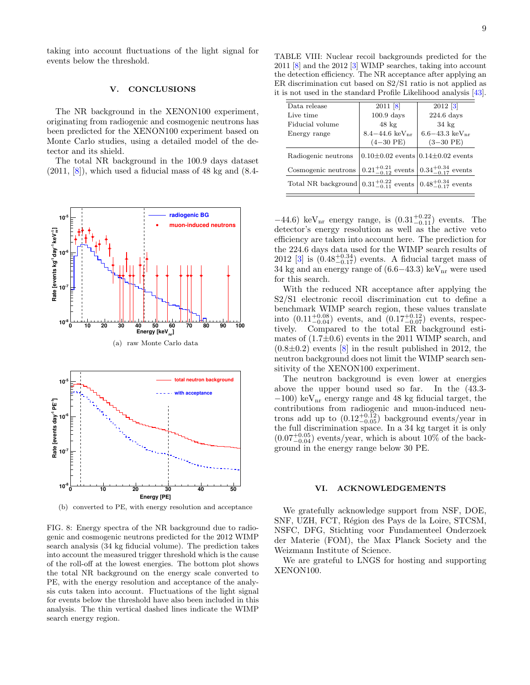taking into account fluctuations of the light signal for events below the threshold.

### V. CONCLUSIONS

The NR background in the XENON100 experiment, originating from radiogenic and cosmogenic neutrons has been predicted for the XENON100 experiment based on Monte Carlo studies, using a detailed model of the detector and its shield.

The total NR background in the 100.9 days dataset  $(2011, 8)$ , which used a fiducial mass of 48 kg and  $(8.4-$ 

<span id="page-8-1"></span>

<span id="page-8-2"></span>(b) converted to PE, with energy resolution and acceptance

FIG. 8: Energy spectra of the NR background due to radiogenic and cosmogenic neutrons predicted for the 2012 WIMP search analysis (34 kg fiducial volume). The prediction takes into account the measured trigger threshold which is the cause of the roll-off at the lowest energies. The bottom plot shows the total NR background on the energy scale converted to PE, with the energy resolution and acceptance of the analysis cuts taken into account. Fluctuations of the light signal for events below the threshold have also been included in this analysis. The thin vertical dashed lines indicate the WIMP search energy region.

<span id="page-8-0"></span>TABLE VIII: Nuclear recoil backgrounds predicted for the 2011 [\[8\]](#page-9-7) and the 2012 [\[3\]](#page-9-2) WIMP searches, taking into account the detection efficiency. The NR acceptance after applying an ER discrimination cut based on S2/S1 ratio is not applied as it is not used in the standard Profile Likelihood analysis [\[43\]](#page-9-43).

| Data release                                                                    | $2011$ [8]                    | $2012$ [3]                                |
|---------------------------------------------------------------------------------|-------------------------------|-------------------------------------------|
| Live time                                                                       | $100.9$ days                  | $224.6$ days                              |
| Fiducial volume                                                                 | $48 \text{ kg}$               | $34 \text{ kg}$                           |
| Energy range                                                                    | $8.4 - 44.6 \text{ keV}_{nr}$ | $6.6 - 43.3 \text{ keV}_{nr}$             |
|                                                                                 | $(4-30$ PE)                   | $(3-30$ PE)                               |
| Radiogenic neutrons                                                             |                               | $0.10\pm0.02$ events $0.14\pm0.02$ events |
| Cosmogenic neutrons                                                             | $0.21^{+0.21}_{-0.12}$ events | $0.34^{+0.34}_{-0.17}$ events             |
| Total NR background $0.31^{+0.22}_{-0.11}$ events $0.48^{+0.34}_{-0.17}$ events |                               |                                           |

 $-44.6$ ) keV<sub>nr</sub> energy range, is  $(0.31^{+0.22}_{-0.11})$  events. The detector's energy resolution as well as the active veto efficiency are taken into account here. The prediction for the 224.6 days data used for the WIMP search results of 2012 [\[3\]](#page-9-2) is  $(0.48^{+0.34}_{-0.17})$  events. A fiducial target mass of 34 kg and an energy range of  $(6.6-43.3)$  keV<sub>nr</sub> were used for this search.

With the reduced NR acceptance after applying the S2/S1 electronic recoil discrimination cut to define a benchmark WIMP search region, these values translate into  $(0.11^{+0.08}_{-0.04})$  events, and  $(0.17^{+0.12}_{-0.07})$  events, respectively. Compared to the total ER background estimates of  $(1.7\pm0.6)$  events in the 2011 WIMP search, and  $(0.8\pm0.2)$  events  $[8]$  in the result published in 2012, the neutron background does not limit the WIMP search sensitivity of the XENON100 experiment.

The neutron background is even lower at energies above the upper bound used so far. In the (43.3-  $-100$ ) keV<sub>nr</sub> energy range and 48 kg fiducial target, the contributions from radiogenic and muon-induced neutrons add up to  $(0.12_{-0.05}^{+0.12})$  background events/year in the full discrimination space. In a 34 kg target it is only  $(0.07^{+0.05}_{-0.04})$  events/year, which is about 10% of the background in the energy range below 30 PE.

#### VI. ACKNOWLEDGEMENTS

We gratefully acknowledge support from NSF, DOE, SNF, UZH, FCT, Région des Pays de la Loire, STCSM, NSFC, DFG, Stichting voor Fundamenteel Onderzoek der Materie (FOM), the Max Planck Society and the Weizmann Institute of Science.

We are grateful to LNGS for hosting and supporting XENON100.